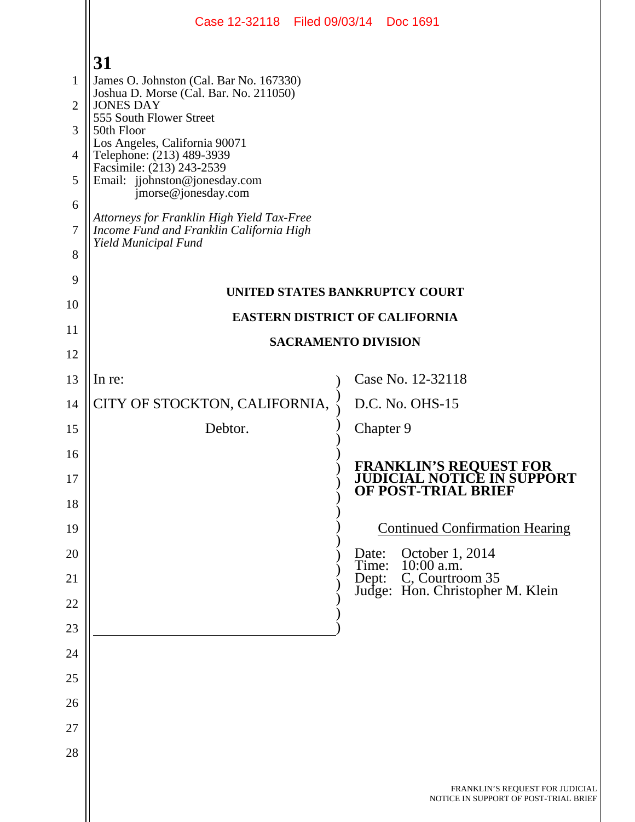|                                          | Case 12-32118 Filed 09/03/14 Doc 1691                                                                                                                                                                              |                |                                                                          |  |
|------------------------------------------|--------------------------------------------------------------------------------------------------------------------------------------------------------------------------------------------------------------------|----------------|--------------------------------------------------------------------------|--|
| $\mathbf{1}$<br>$\overline{2}$<br>3<br>4 | 31<br>James O. Johnston (Cal. Bar No. 167330)<br>Joshua D. Morse (Cal. Bar. No. 211050)<br><b>JONES DAY</b><br>555 South Flower Street<br>50th Floor<br>Los Angeles, California 90071<br>Telephone: (213) 489-3939 |                |                                                                          |  |
| 5<br>6                                   | Facsimile: (213) 243-2539<br>Email: jjohnston@jonesday.com<br>jmorse@jonesday.com                                                                                                                                  |                |                                                                          |  |
| 7<br>8                                   | Attorneys for Franklin High Yield Tax-Free<br>Income Fund and Franklin California High<br>Yield Municipal Fund                                                                                                     |                |                                                                          |  |
| 9                                        |                                                                                                                                                                                                                    |                | UNITED STATES BANKRUPTCY COURT                                           |  |
| 10                                       | <b>EASTERN DISTRICT OF CALIFORNIA</b>                                                                                                                                                                              |                |                                                                          |  |
| 11                                       | <b>SACRAMENTO DIVISION</b>                                                                                                                                                                                         |                |                                                                          |  |
| 12<br>13                                 | In re:                                                                                                                                                                                                             |                | Case No. 12-32118                                                        |  |
| 14                                       | CITY OF STOCKTON, CALIFORNIA,                                                                                                                                                                                      |                | D.C. No. OHS-15                                                          |  |
| 15                                       | Debtor.                                                                                                                                                                                                            |                | Chapter 9                                                                |  |
| 16                                       |                                                                                                                                                                                                                    |                |                                                                          |  |
| 17                                       |                                                                                                                                                                                                                    |                | <b>FRANKLIN'S REQUEST FOR<br/>JUDICIAL NOTICE IN SUPPORT</b>             |  |
| 18                                       |                                                                                                                                                                                                                    |                | OF POST-TRIAL BRIEF                                                      |  |
| 19                                       |                                                                                                                                                                                                                    |                | <b>Continued Confirmation Hearing</b>                                    |  |
| 20                                       |                                                                                                                                                                                                                    | Date:<br>Time: | October 1, 2014<br>$10:00$ a.m.                                          |  |
| 21                                       |                                                                                                                                                                                                                    |                | Dept: C, Courtroom 35<br>Judge: Hon. Christopher M. Klein                |  |
| 22                                       |                                                                                                                                                                                                                    |                |                                                                          |  |
| 23                                       |                                                                                                                                                                                                                    |                |                                                                          |  |
| 24                                       |                                                                                                                                                                                                                    |                |                                                                          |  |
| 25                                       |                                                                                                                                                                                                                    |                |                                                                          |  |
| 26                                       |                                                                                                                                                                                                                    |                |                                                                          |  |
| 27                                       |                                                                                                                                                                                                                    |                |                                                                          |  |
| 28                                       |                                                                                                                                                                                                                    |                |                                                                          |  |
|                                          |                                                                                                                                                                                                                    |                | FRANKLIN'S REQUEST FOR JUDICIAL<br>NOTICE IN SUPPORT OF POST-TRIAL BRIEF |  |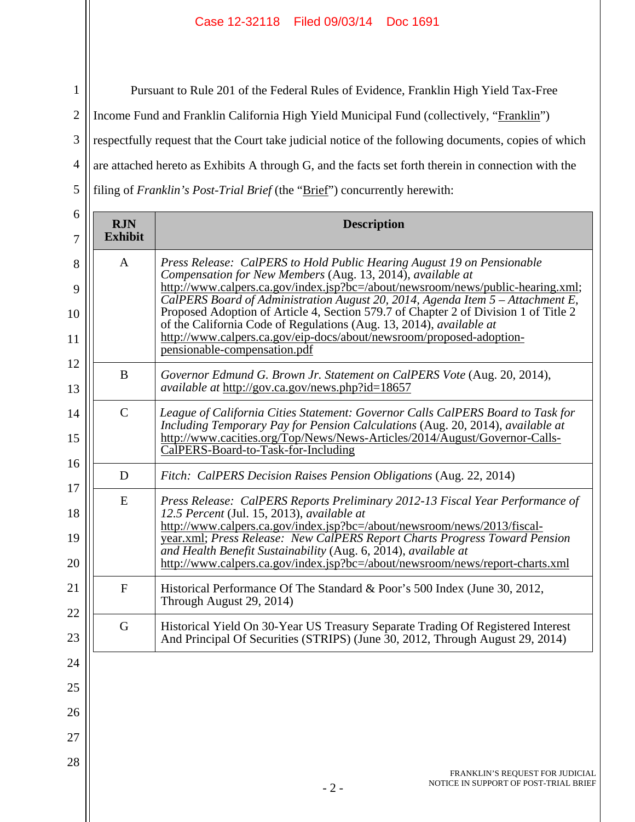### Case 12-32118 Filed 09/03/14 Doc 1691

1

2

4

3 5 Pursuant to Rule 201 of the Federal Rules of Evidence, Franklin High Yield Tax-Free Income Fund and Franklin California High Yield Municipal Fund (collectively, "Franklin") respectfully request that the Court take judicial notice of the following documents, copies of which are attached hereto as Exhibits A through G, and the facts set forth therein in connection with the filing of *Franklin's Post-Trial Brief* (the "*Brief*") concurrently herewith:

| <b>RJN</b><br><b>Exhibit</b> | <b>Description</b>                                                                                                                                                                                                                                                                                                                                                                                                                                                                                                                                                              |
|------------------------------|---------------------------------------------------------------------------------------------------------------------------------------------------------------------------------------------------------------------------------------------------------------------------------------------------------------------------------------------------------------------------------------------------------------------------------------------------------------------------------------------------------------------------------------------------------------------------------|
| $\mathbf{A}$                 | Press Release: CalPERS to Hold Public Hearing August 19 on Pensionable<br>Compensation for New Members (Aug. 13, 2014), available at<br>http://www.calpers.ca.gov/index.jsp?bc=/about/newsroom/news/public-hearing.xml;<br>CalPERS Board of Administration August 20, 2014, Agenda Item 5 - Attachment E,<br>Proposed Adoption of Article 4, Section 579.7 of Chapter 2 of Division 1 of Title 2<br>of the California Code of Regulations (Aug. 13, 2014), available at<br>http://www.calpers.ca.gov/eip-docs/about/newsroom/proposed-adoption-<br>pensionable-compensation.pdf |
| B                            | Governor Edmund G. Brown Jr. Statement on CalPERS Vote (Aug. 20, 2014),<br><i>available at http://gov.ca.gov/news.php?id=18657</i>                                                                                                                                                                                                                                                                                                                                                                                                                                              |
| $\mathbf C$                  | League of California Cities Statement: Governor Calls CalPERS Board to Task for<br>Including Temporary Pay for Pension Calculations (Aug. 20, 2014), available at<br>http://www.cacities.org/Top/News/News-Articles/2014/August/Governor-Calls-<br>CalPERS-Board-to-Task-for-Including                                                                                                                                                                                                                                                                                          |
| D                            | Fitch: CalPERS Decision Raises Pension Obligations (Aug. 22, 2014)                                                                                                                                                                                                                                                                                                                                                                                                                                                                                                              |
| E                            | Press Release: CalPERS Reports Preliminary 2012-13 Fiscal Year Performance of<br>12.5 Percent (Jul. 15, 2013), available at<br>http://www.calpers.ca.gov/index.jsp?bc=/about/newsroom/news/2013/fiscal-<br>year.xml; Press Release: New CalPERS Report Charts Progress Toward Pension<br>and Health Benefit Sustainability (Aug. 6, 2014), available at<br>http://www.calpers.ca.gov/index.jsp?bc=/about/newsroom/news/report-charts.xml                                                                                                                                        |
| $\mathbf{F}$                 | Historical Performance Of The Standard & Poor's 500 Index (June 30, 2012,<br>Through August 29, 2014)                                                                                                                                                                                                                                                                                                                                                                                                                                                                           |
| G                            | Historical Yield On 30-Year US Treasury Separate Trading Of Registered Interest<br>And Principal Of Securities (STRIPS) (June 30, 2012, Through August 29, 2014)                                                                                                                                                                                                                                                                                                                                                                                                                |
|                              |                                                                                                                                                                                                                                                                                                                                                                                                                                                                                                                                                                                 |
|                              |                                                                                                                                                                                                                                                                                                                                                                                                                                                                                                                                                                                 |
|                              |                                                                                                                                                                                                                                                                                                                                                                                                                                                                                                                                                                                 |
|                              | FRANKLIN'S REQUEST FOR JUDICIAL<br>NOTICE IN SUPPORT OF POST-TRIAL BRIEF<br>$-2-$                                                                                                                                                                                                                                                                                                                                                                                                                                                                                               |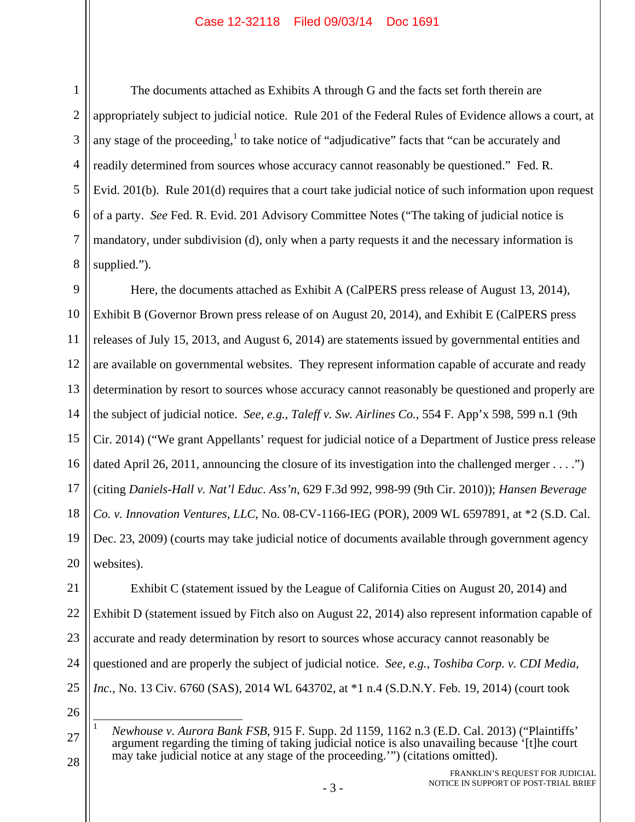### Case 12-32118 Filed 09/03/14 Doc 1691

The documents attached as Exhibits A through G and the facts set forth therein are appropriately subject to judicial notice. Rule 201 of the Federal Rules of Evidence allows a court, at any stage of the proceeding, $<sup>1</sup>$  to take notice of "adjudicative" facts that "can be accurately and</sup> readily determined from sources whose accuracy cannot reasonably be questioned." Fed. R. Evid. 201(b). Rule 201(d) requires that a court take judicial notice of such information upon request of a party. *See* Fed. R. Evid. 201 Advisory Committee Notes ("The taking of judicial notice is mandatory, under subdivision (d), only when a party requests it and the necessary information is supplied.").

9 10 11 12 13 14 15 16 17 18 19 20 Here, the documents attached as Exhibit A (CalPERS press release of August 13, 2014), Exhibit B (Governor Brown press release of on August 20, 2014), and Exhibit E (CalPERS press releases of July 15, 2013, and August 6, 2014) are statements issued by governmental entities and are available on governmental websites. They represent information capable of accurate and ready determination by resort to sources whose accuracy cannot reasonably be questioned and properly are the subject of judicial notice. *See, e.g.*, *Taleff v. Sw. Airlines Co.*, 554 F. App'x 598, 599 n.1 (9th Cir. 2014) ("We grant Appellants' request for judicial notice of a Department of Justice press release dated April 26, 2011, announcing the closure of its investigation into the challenged merger . . . .") (citing *Daniels-Hall v. Nat'l Educ. Ass'n*, 629 F.3d 992, 998-99 (9th Cir. 2010)); *Hansen Beverage Co. v. Innovation Ventures, LLC*, No. 08-CV-1166-IEG (POR), 2009 WL 6597891, at \*2 (S.D. Cal. Dec. 23, 2009) (courts may take judicial notice of documents available through government agency websites).

21 22 23 24 25 Exhibit C (statement issued by the League of California Cities on August 20, 2014) and Exhibit D (statement issued by Fitch also on August 22, 2014) also represent information capable of accurate and ready determination by resort to sources whose accuracy cannot reasonably be questioned and are properly the subject of judicial notice. *See, e.g., Toshiba Corp. v. CDI Media, Inc.*, No. 13 Civ. 6760 (SAS), 2014 WL 643702, at \*1 n.4 (S.D.N.Y. Feb. 19, 2014) (court took

26

<sup>27</sup> 28  $\frac{1}{1}$  *Newhouse v. Aurora Bank FSB*, 915 F. Supp. 2d 1159, 1162 n.3 (E.D. Cal. 2013) ("Plaintiffs' argument regarding the timing of taking judicial notice is also unavailing because '[t]he court may take judicial notice at any stage of the proceeding.'") (citations omitted).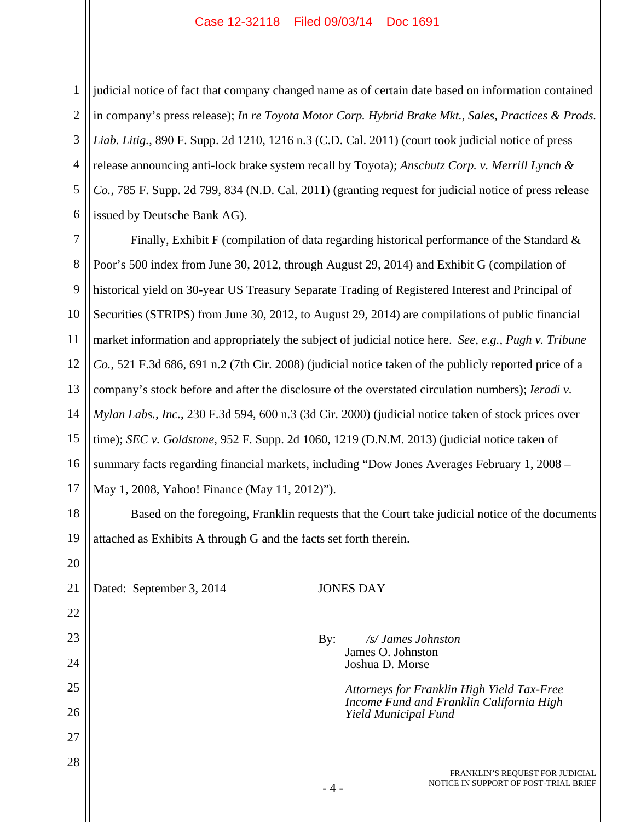### Case 12-32118 Filed 09/03/14 Doc 1691

1 2 3 4 5 6 judicial notice of fact that company changed name as of certain date based on information contained in company's press release); *In re Toyota Motor Corp. Hybrid Brake Mkt., Sales, Practices & Prods. Liab. Litig.*, 890 F. Supp. 2d 1210, 1216 n.3 (C.D. Cal. 2011) (court took judicial notice of press release announcing anti-lock brake system recall by Toyota); *Anschutz Corp. v. Merrill Lynch & Co.*, 785 F. Supp. 2d 799, 834 (N.D. Cal. 2011) (granting request for judicial notice of press release issued by Deutsche Bank AG).

7 8 9 10 11 12 13 14 15 16 17 Finally, Exhibit F (compilation of data regarding historical performance of the Standard  $\&$ Poor's 500 index from June 30, 2012, through August 29, 2014) and Exhibit G (compilation of historical yield on 30-year US Treasury Separate Trading of Registered Interest and Principal of Securities (STRIPS) from June 30, 2012, to August 29, 2014) are compilations of public financial market information and appropriately the subject of judicial notice here. *See, e.g., Pugh v. Tribune Co.*, 521 F.3d 686, 691 n.2 (7th Cir. 2008) (judicial notice taken of the publicly reported price of a company's stock before and after the disclosure of the overstated circulation numbers); *Ieradi v. Mylan Labs., Inc.*, 230 F.3d 594, 600 n.3 (3d Cir. 2000) (judicial notice taken of stock prices over time); *SEC v. Goldstone*, 952 F. Supp. 2d 1060, 1219 (D.N.M. 2013) (judicial notice taken of summary facts regarding financial markets, including "Dow Jones Averages February 1, 2008 – May 1, 2008, Yahoo! Finance (May 11, 2012)").

18 19 Based on the foregoing, Franklin requests that the Court take judicial notice of the documents attached as Exhibits A through G and the facts set forth therein.

20

21

22

23

24

25

26

27

28

Dated: September 3, 2014 JONES DAY

 By: */s/ James Johnston*  James O. Johnston Joshua D. Morse

> *Attorneys for Franklin High Yield Tax-Free Income Fund and Franklin California High Yield Municipal Fund*

> > FRANKLIN'S REQUEST FOR JUDICIAL NOTICE IN SUPPORT OF POST-TRIAL BRIEF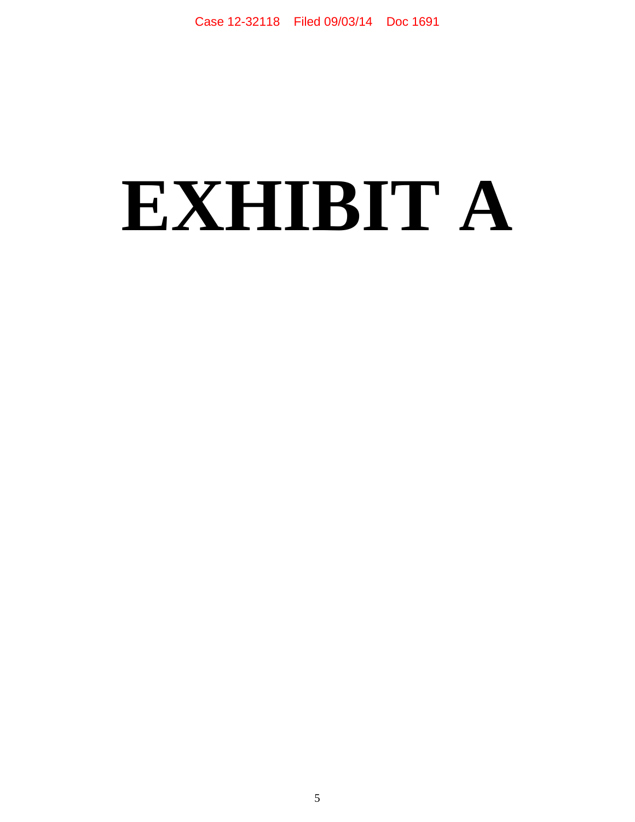# **EXHIBIT A**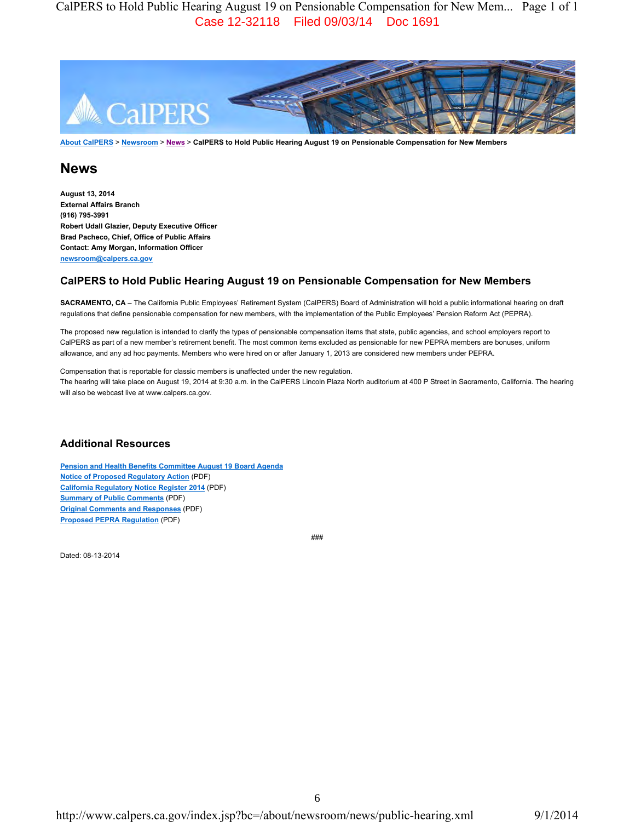### CalPERS to Hold Public Hearing August 19 on Pensionable Compensation for New Mem... Page 1 of 1 Case 12-32118 Filed 09/03/14 Doc 1691



**About CalPERS** > **Newsroom** > **News** > **CalPERS to Hold Public Hearing August 19 on Pensionable Compensation for New Members**

#### **News**

**August 13, 2014 External Affairs Branch (916) 795-3991 Robert Udall Glazier, Deputy Executive Officer Brad Pacheco, Chief, Office of Public Affairs Contact: Amy Morgan, Information Officer newsroom@calpers.ca.gov**

#### **CalPERS to Hold Public Hearing August 19 on Pensionable Compensation for New Members**

**SACRAMENTO, CA** – The California Public Employees' Retirement System (CalPERS) Board of Administration will hold a public informational hearing on draft regulations that define pensionable compensation for new members, with the implementation of the Public Employees' Pension Reform Act (PEPRA).

The proposed new regulation is intended to clarify the types of pensionable compensation items that state, public agencies, and school employers report to CalPERS as part of a new member's retirement benefit. The most common items excluded as pensionable for new PEPRA members are bonuses, uniform allowance, and any ad hoc payments. Members who were hired on or after January 1, 2013 are considered new members under PEPRA.

Compensation that is reportable for classic members is unaffected under the new regulation.

The hearing will take place on August 19, 2014 at 9:30 a.m. in the CalPERS Lincoln Plaza North auditorium at 400 P Street in Sacramento, California. The hearing will also be webcast live at www.calpers.ca.gov.

###

6

#### **Additional Resources**

**Pension and Health Benefits Committee August 19 Board Agenda Notice of Proposed Regulatory Action** (PDF) **California Regulatory Notice Register 2014** (PDF) **Summary of Public Comments** (PDF) **Original Comments and Responses** (PDF) **Proposed PEPRA Regulation** (PDF)

Dated: 08-13-2014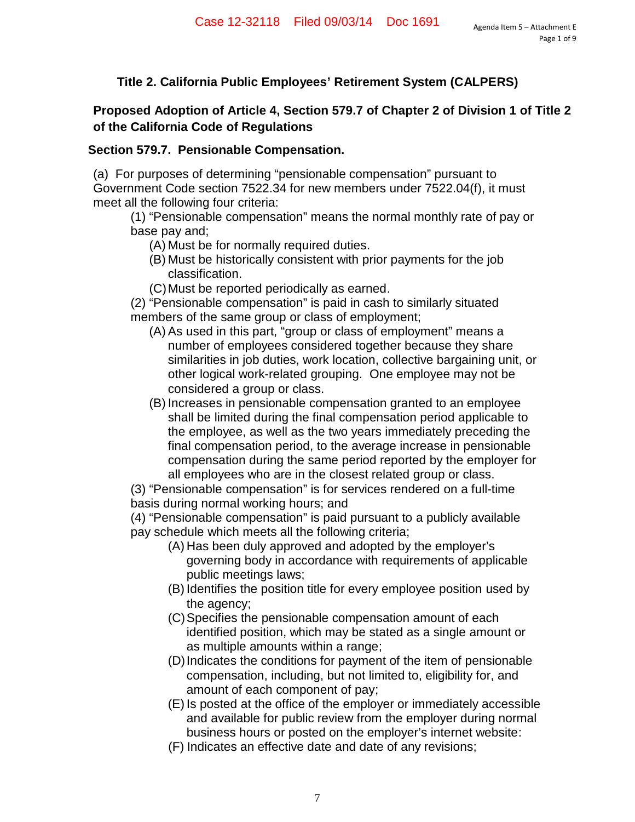## **Title 2. California Public Employees' Retirement System (CALPERS)**

### **Proposed Adoption of Article 4, Section 579.7 of Chapter 2 of Division 1 of Title 2 of the California Code of Regulations**

### **Section 579.7. Pensionable Compensation.**

(a) For purposes of determining "pensionable compensation" pursuant to Government Code section 7522.34 for new members under 7522.04(f), it must meet all the following four criteria:

(1) "Pensionable compensation" means the normal monthly rate of pay or base pay and;

(A) Must be for normally required duties.

- (B) Must be historically consistent with prior payments for the job classification.
- (C) Must be reported periodically as earned.

(2) "Pensionable compensation" is paid in cash to similarly situated members of the same group or class of employment;

- (A) As used in this part, "group or class of employment" means a number of employees considered together because they share similarities in job duties, work location, collective bargaining unit, or other logical work-related grouping. One employee may not be considered a group or class.
- (B) Increases in pensionable compensation granted to an employee shall be limited during the final compensation period applicable to the employee, as well as the two years immediately preceding the final compensation period, to the average increase in pensionable compensation during the same period reported by the employer for all employees who are in the closest related group or class.

(3) "Pensionable compensation" is for services rendered on a full-time basis during normal working hours; and

(4) "Pensionable compensation" is paid pursuant to a publicly available pay schedule which meets all the following criteria;

- (A) Has been duly approved and adopted by the employer's governing body in accordance with requirements of applicable public meetings laws;
- (B) Identifies the position title for every employee position used by the agency;
- (C) Specifies the pensionable compensation amount of each identified position, which may be stated as a single amount or as multiple amounts within a range;
- (D) Indicates the conditions for payment of the item of pensionable compensation, including, but not limited to, eligibility for, and amount of each component of pay;
- (E) Is posted at the office of the employer or immediately accessible and available for public review from the employer during normal business hours or posted on the employer's internet website:
- (F) Indicates an effective date and date of any revisions;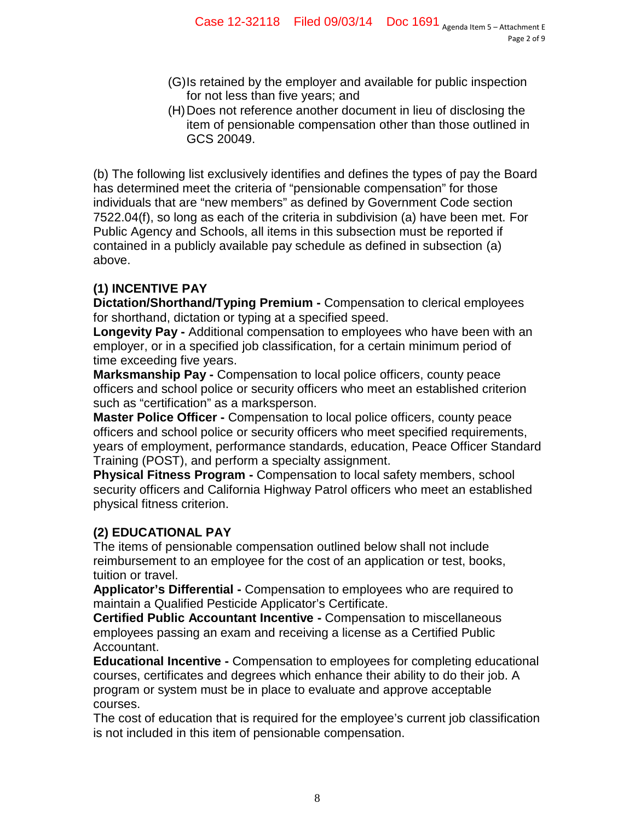- (G)Is retained by the employer and available for public inspection for not less than five years; and
- (H) Does not reference another document in lieu of disclosing the item of pensionable compensation other than those outlined in GCS 20049.

(b) The following list exclusively identifies and defines the types of pay the Board has determined meet the criteria of "pensionable compensation" for those individuals that are "new members" as defined by Government Code section 7522.04(f), so long as each of the criteria in subdivision (a) have been met. For Public Agency and Schools, all items in this subsection must be reported if contained in a publicly available pay schedule as defined in subsection (a) above.

# **(1) INCENTIVE PAY**

**Dictation/Shorthand/Typing Premium -** Compensation to clerical employees for shorthand, dictation or typing at a specified speed.

**Longevity Pay -** Additional compensation to employees who have been with an employer, or in a specified job classification, for a certain minimum period of time exceeding five years.

**Marksmanship Pay -** Compensation to local police officers, county peace officers and school police or security officers who meet an established criterion such as "certification" as a marksperson.

**Master Police Officer - Compensation to local police officers, county peace** officers and school police or security officers who meet specified requirements, years of employment, performance standards, education, Peace Officer Standard Training (POST), and perform a specialty assignment.

**Physical Fitness Program -** Compensation to local safety members, school security officers and California Highway Patrol officers who meet an established physical fitness criterion.

# **(2) EDUCATIONAL PAY**

The items of pensionable compensation outlined below shall not include reimbursement to an employee for the cost of an application or test, books, tuition or travel.

**Applicator's Differential -** Compensation to employees who are required to maintain a Qualified Pesticide Applicator's Certificate.

**Certified Public Accountant Incentive -** Compensation to miscellaneous employees passing an exam and receiving a license as a Certified Public Accountant.

**Educational Incentive -** Compensation to employees for completing educational courses, certificates and degrees which enhance their ability to do their job. A program or system must be in place to evaluate and approve acceptable courses.

The cost of education that is required for the employee's current job classification is not included in this item of pensionable compensation.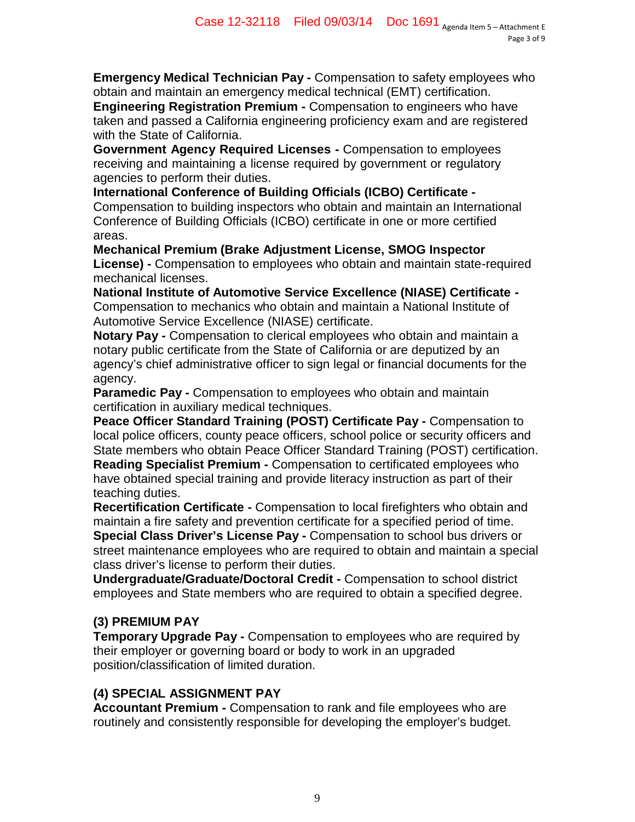**Emergency Medical Technician Pay -** Compensation to safety employees who obtain and maintain an emergency medical technical (EMT) certification.

**Engineering Registration Premium -** Compensation to engineers who have taken and passed a California engineering proficiency exam and are registered with the State of California.

**Government Agency Required Licenses -** Compensation to employees receiving and maintaining a license required by government or regulatory agencies to perform their duties.

**International Conference of Building Officials (ICBO) Certificate -** 

Compensation to building inspectors who obtain and maintain an International Conference of Building Officials (ICBO) certificate in one or more certified areas.

**Mechanical Premium (Brake Adjustment License, SMOG Inspector License) -** Compensation to employees who obtain and maintain state-required mechanical licenses.

**National Institute of Automotive Service Excellence (NIASE) Certificate -**  Compensation to mechanics who obtain and maintain a National Institute of Automotive Service Excellence (NIASE) certificate.

**Notary Pay -** Compensation to clerical employees who obtain and maintain a notary public certificate from the State of California or are deputized by an agency's chief administrative officer to sign legal or financial documents for the agency.

**Paramedic Pay -** Compensation to employees who obtain and maintain certification in auxiliary medical techniques.

Peace Officer Standard Training (POST) Certificate Pay - Compensation to local police officers, county peace officers, school police or security officers and State members who obtain Peace Officer Standard Training (POST) certification. **Reading Specialist Premium -** Compensation to certificated employees who have obtained special training and provide literacy instruction as part of their teaching duties.

**Recertification Certificate -** Compensation to local firefighters who obtain and maintain a fire safety and prevention certificate for a specified period of time. **Special Class Driver's License Pay -** Compensation to school bus drivers or street maintenance employees who are required to obtain and maintain a special class driver's license to perform their duties.

**Undergraduate/Graduate/Doctoral Credit -** Compensation to school district employees and State members who are required to obtain a specified degree.

# **(3) PREMIUM PAY**

**Temporary Upgrade Pay -** Compensation to employees who are required by their employer or governing board or body to work in an upgraded position/classification of limited duration.

# **(4) SPECIAL ASSIGNMENT PAY**

**Accountant Premium -** Compensation to rank and file employees who are routinely and consistently responsible for developing the employer's budget.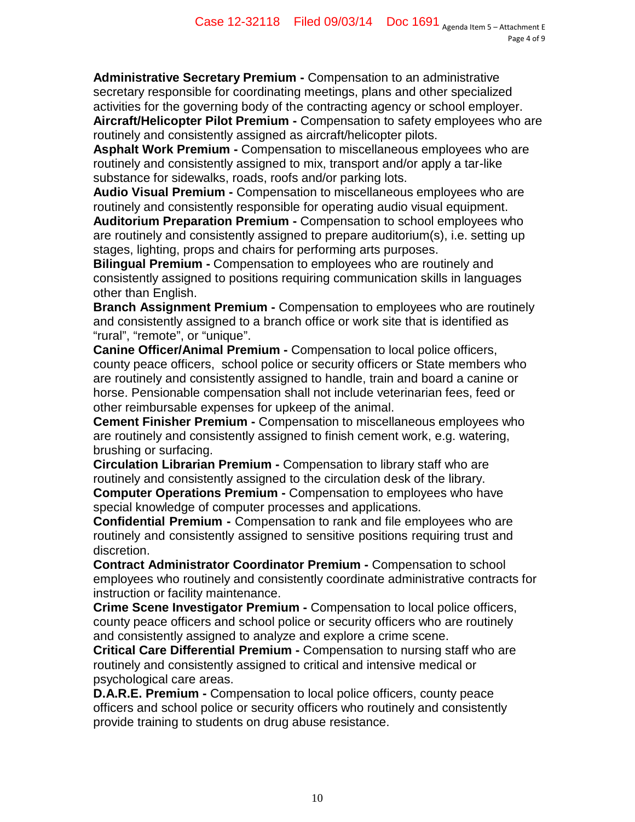**Administrative Secretary Premium -** Compensation to an administrative secretary responsible for coordinating meetings, plans and other specialized activities for the governing body of the contracting agency or school employer. **Aircraft/Helicopter Pilot Premium -** Compensation to safety employees who are routinely and consistently assigned as aircraft/helicopter pilots.

**Asphalt Work Premium -** Compensation to miscellaneous employees who are routinely and consistently assigned to mix, transport and/or apply a tar-like substance for sidewalks, roads, roofs and/or parking lots.

**Audio Visual Premium -** Compensation to miscellaneous employees who are routinely and consistently responsible for operating audio visual equipment.

**Auditorium Preparation Premium -** Compensation to school employees who are routinely and consistently assigned to prepare auditorium(s), i.e. setting up stages, lighting, props and chairs for performing arts purposes.

**Bilingual Premium -** Compensation to employees who are routinely and consistently assigned to positions requiring communication skills in languages other than English.

**Branch Assignment Premium -** Compensation to employees who are routinely and consistently assigned to a branch office or work site that is identified as "rural", "remote", or "unique".

**Canine Officer/Animal Premium -** Compensation to local police officers, county peace officers, school police or security officers or State members who are routinely and consistently assigned to handle, train and board a canine or horse. Pensionable compensation shall not include veterinarian fees, feed or other reimbursable expenses for upkeep of the animal.

**Cement Finisher Premium -** Compensation to miscellaneous employees who are routinely and consistently assigned to finish cement work, e.g. watering, brushing or surfacing.

**Circulation Librarian Premium -** Compensation to library staff who are routinely and consistently assigned to the circulation desk of the library. **Computer Operations Premium -** Compensation to employees who have

special knowledge of computer processes and applications.

**Confidential Premium -** Compensation to rank and file employees who are routinely and consistently assigned to sensitive positions requiring trust and discretion.

**Contract Administrator Coordinator Premium - Compensation to school** employees who routinely and consistently coordinate administrative contracts for instruction or facility maintenance.

**Crime Scene Investigator Premium -** Compensation to local police officers, county peace officers and school police or security officers who are routinely and consistently assigned to analyze and explore a crime scene.

**Critical Care Differential Premium -** Compensation to nursing staff who are routinely and consistently assigned to critical and intensive medical or psychological care areas.

**D.A.R.E. Premium -** Compensation to local police officers, county peace officers and school police or security officers who routinely and consistently provide training to students on drug abuse resistance.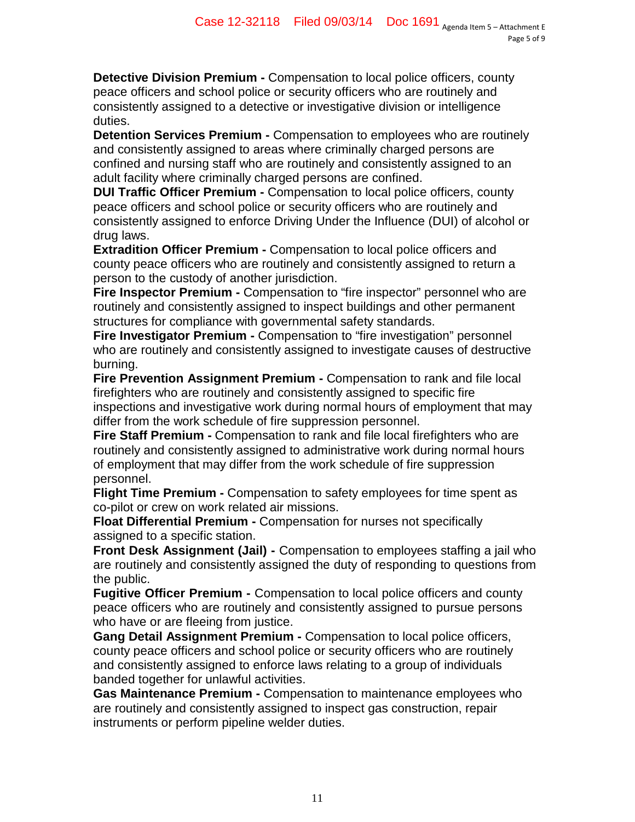**Detective Division Premium -** Compensation to local police officers, county peace officers and school police or security officers who are routinely and consistently assigned to a detective or investigative division or intelligence duties.

**Detention Services Premium -** Compensation to employees who are routinely and consistently assigned to areas where criminally charged persons are confined and nursing staff who are routinely and consistently assigned to an adult facility where criminally charged persons are confined.

**DUI Traffic Officer Premium -** Compensation to local police officers, county peace officers and school police or security officers who are routinely and consistently assigned to enforce Driving Under the Influence (DUI) of alcohol or drug laws.

**Extradition Officer Premium - Compensation to local police officers and** county peace officers who are routinely and consistently assigned to return a person to the custody of another jurisdiction.

**Fire Inspector Premium -** Compensation to "fire inspector" personnel who are routinely and consistently assigned to inspect buildings and other permanent structures for compliance with governmental safety standards.

**Fire Investigator Premium -** Compensation to "fire investigation" personnel who are routinely and consistently assigned to investigate causes of destructive burning.

**Fire Prevention Assignment Premium -** Compensation to rank and file local firefighters who are routinely and consistently assigned to specific fire inspections and investigative work during normal hours of employment that may differ from the work schedule of fire suppression personnel.

**Fire Staff Premium -** Compensation to rank and file local firefighters who are routinely and consistently assigned to administrative work during normal hours of employment that may differ from the work schedule of fire suppression personnel.

**Flight Time Premium -** Compensation to safety employees for time spent as co-pilot or crew on work related air missions.

**Float Differential Premium -** Compensation for nurses not specifically assigned to a specific station.

**Front Desk Assignment (Jail) -** Compensation to employees staffing a jail who are routinely and consistently assigned the duty of responding to questions from the public.

**Fugitive Officer Premium -** Compensation to local police officers and county peace officers who are routinely and consistently assigned to pursue persons who have or are fleeing from justice.

**Gang Detail Assignment Premium -** Compensation to local police officers, county peace officers and school police or security officers who are routinely and consistently assigned to enforce laws relating to a group of individuals banded together for unlawful activities.

**Gas Maintenance Premium -** Compensation to maintenance employees who are routinely and consistently assigned to inspect gas construction, repair instruments or perform pipeline welder duties.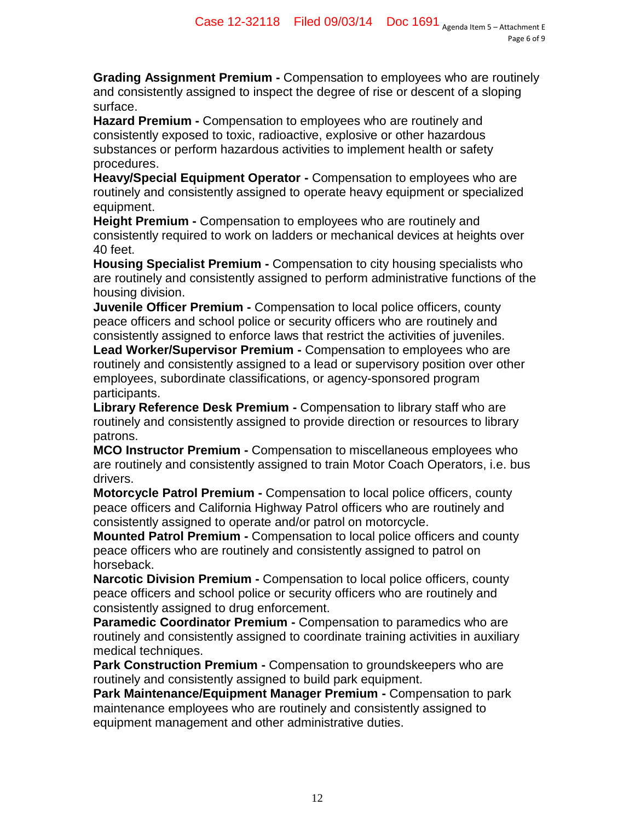**Grading Assignment Premium -** Compensation to employees who are routinely and consistently assigned to inspect the degree of rise or descent of a sloping surface.

**Hazard Premium -** Compensation to employees who are routinely and consistently exposed to toxic, radioactive, explosive or other hazardous substances or perform hazardous activities to implement health or safety procedures.

**Heavy/Special Equipment Operator -** Compensation to employees who are routinely and consistently assigned to operate heavy equipment or specialized equipment.

**Height Premium -** Compensation to employees who are routinely and consistently required to work on ladders or mechanical devices at heights over 40 feet.

**Housing Specialist Premium -** Compensation to city housing specialists who are routinely and consistently assigned to perform administrative functions of the housing division.

**Juvenile Officer Premium -** Compensation to local police officers, county peace officers and school police or security officers who are routinely and consistently assigned to enforce laws that restrict the activities of juveniles.

**Lead Worker/Supervisor Premium -** Compensation to employees who are routinely and consistently assigned to a lead or supervisory position over other employees, subordinate classifications, or agency-sponsored program participants.

**Library Reference Desk Premium -** Compensation to library staff who are routinely and consistently assigned to provide direction or resources to library patrons.

**MCO Instructor Premium -** Compensation to miscellaneous employees who are routinely and consistently assigned to train Motor Coach Operators, i.e. bus drivers.

**Motorcycle Patrol Premium -** Compensation to local police officers, county peace officers and California Highway Patrol officers who are routinely and consistently assigned to operate and/or patrol on motorcycle.

**Mounted Patrol Premium -** Compensation to local police officers and county peace officers who are routinely and consistently assigned to patrol on horseback.

**Narcotic Division Premium -** Compensation to local police officers, county peace officers and school police or security officers who are routinely and consistently assigned to drug enforcement.

**Paramedic Coordinator Premium - Compensation to paramedics who are** routinely and consistently assigned to coordinate training activities in auxiliary medical techniques.

**Park Construction Premium -** Compensation to groundskeepers who are routinely and consistently assigned to build park equipment.

**Park Maintenance/Equipment Manager Premium -** Compensation to park maintenance employees who are routinely and consistently assigned to equipment management and other administrative duties.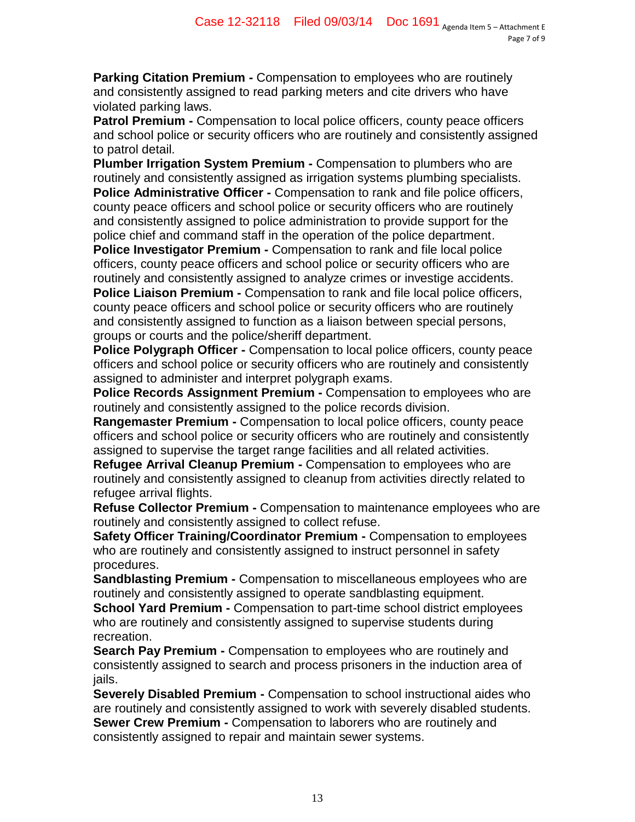**Parking Citation Premium -** Compensation to employees who are routinely and consistently assigned to read parking meters and cite drivers who have violated parking laws.

**Patrol Premium -** Compensation to local police officers, county peace officers and school police or security officers who are routinely and consistently assigned to patrol detail.

**Plumber Irrigation System Premium -** Compensation to plumbers who are routinely and consistently assigned as irrigation systems plumbing specialists. **Police Administrative Officer -** Compensation to rank and file police officers, county peace officers and school police or security officers who are routinely and consistently assigned to police administration to provide support for the

police chief and command staff in the operation of the police department. **Police Investigator Premium - Compensation to rank and file local police** officers, county peace officers and school police or security officers who are routinely and consistently assigned to analyze crimes or investige accidents.

**Police Liaison Premium -** Compensation to rank and file local police officers, county peace officers and school police or security officers who are routinely and consistently assigned to function as a liaison between special persons, groups or courts and the police/sheriff department.

**Police Polygraph Officer -** Compensation to local police officers, county peace officers and school police or security officers who are routinely and consistently assigned to administer and interpret polygraph exams.

**Police Records Assignment Premium -** Compensation to employees who are routinely and consistently assigned to the police records division.

**Rangemaster Premium -** Compensation to local police officers, county peace officers and school police or security officers who are routinely and consistently assigned to supervise the target range facilities and all related activities.

**Refugee Arrival Cleanup Premium -** Compensation to employees who are routinely and consistently assigned to cleanup from activities directly related to refugee arrival flights.

**Refuse Collector Premium -** Compensation to maintenance employees who are routinely and consistently assigned to collect refuse.

**Safety Officer Training/Coordinator Premium - Compensation to employees** who are routinely and consistently assigned to instruct personnel in safety procedures.

**Sandblasting Premium - Compensation to miscellaneous employees who are** routinely and consistently assigned to operate sandblasting equipment.

**School Yard Premium -** Compensation to part-time school district employees who are routinely and consistently assigned to supervise students during recreation.

**Search Pay Premium - Compensation to employees who are routinely and** consistently assigned to search and process prisoners in the induction area of jails.

**Severely Disabled Premium -** Compensation to school instructional aides who are routinely and consistently assigned to work with severely disabled students. **Sewer Crew Premium - Compensation to laborers who are routinely and** consistently assigned to repair and maintain sewer systems.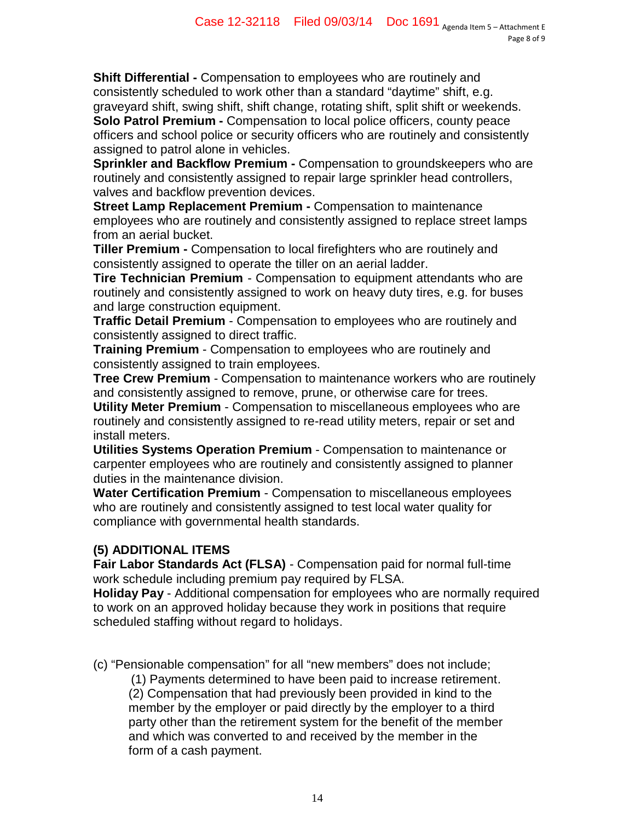**Shift Differential - Compensation to employees who are routinely and** consistently scheduled to work other than a standard "daytime" shift, e.g. graveyard shift, swing shift, shift change, rotating shift, split shift or weekends.

**Solo Patrol Premium -** Compensation to local police officers, county peace officers and school police or security officers who are routinely and consistently assigned to patrol alone in vehicles.

**Sprinkler and Backflow Premium -** Compensation to groundskeepers who are routinely and consistently assigned to repair large sprinkler head controllers, valves and backflow prevention devices.

**Street Lamp Replacement Premium - Compensation to maintenance** employees who are routinely and consistently assigned to replace street lamps from an aerial bucket.

**Tiller Premium -** Compensation to local firefighters who are routinely and consistently assigned to operate the tiller on an aerial ladder.

**Tire Technician Premium** - Compensation to equipment attendants who are routinely and consistently assigned to work on heavy duty tires, e.g. for buses and large construction equipment.

**Traffic Detail Premium** - Compensation to employees who are routinely and consistently assigned to direct traffic.

**Training Premium** - Compensation to employees who are routinely and consistently assigned to train employees.

**Tree Crew Premium** - Compensation to maintenance workers who are routinely and consistently assigned to remove, prune, or otherwise care for trees.

**Utility Meter Premium** - Compensation to miscellaneous employees who are routinely and consistently assigned to re-read utility meters, repair or set and install meters.

**Utilities Systems Operation Premium** - Compensation to maintenance or carpenter employees who are routinely and consistently assigned to planner duties in the maintenance division.

**Water Certification Premium** - Compensation to miscellaneous employees who are routinely and consistently assigned to test local water quality for compliance with governmental health standards.

# **(5) ADDITIONAL ITEMS**

**Fair Labor Standards Act (FLSA)** - Compensation paid for normal full-time work schedule including premium pay required by FLSA.

**Holiday Pay** - Additional compensation for employees who are normally required to work on an approved holiday because they work in positions that require scheduled staffing without regard to holidays.

(c) "Pensionable compensation" for all "new members" does not include;

(1) Payments determined to have been paid to increase retirement. (2) Compensation that had previously been provided in kind to the member by the employer or paid directly by the employer to a third party other than the retirement system for the benefit of the member and which was converted to and received by the member in the form of a cash payment.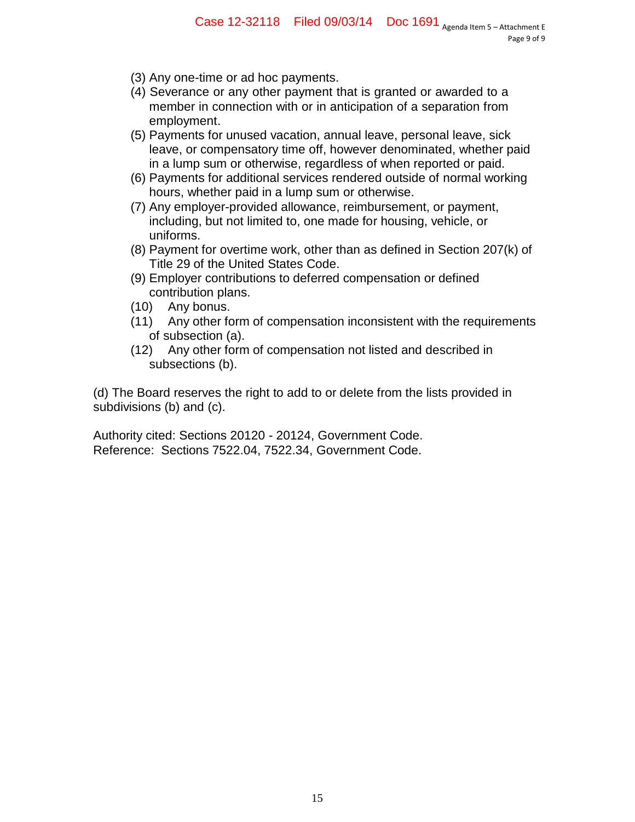- (3) Any one-time or ad hoc payments.
- (4) Severance or any other payment that is granted or awarded to a member in connection with or in anticipation of a separation from employment.
- (5) Payments for unused vacation, annual leave, personal leave, sick leave, or compensatory time off, however denominated, whether paid in a lump sum or otherwise, regardless of when reported or paid.
- (6) Payments for additional services rendered outside of normal working hours, whether paid in a lump sum or otherwise.
- (7) Any employer-provided allowance, reimbursement, or payment, including, but not limited to, one made for housing, vehicle, or uniforms.
- (8) Payment for overtime work, other than as defined in Section 207(k) of Title 29 of the United States Code.
- (9) Employer contributions to deferred compensation or defined contribution plans.
- (10) Any bonus.
- (11) Any other form of compensation inconsistent with the requirements of subsection (a).
- (12) Any other form of compensation not listed and described in subsections (b).

(d) The Board reserves the right to add to or delete from the lists provided in subdivisions (b) and (c).

Authority cited: Sections 20120 - 20124, Government Code. Reference: Sections 7522.04, 7522.34, Government Code.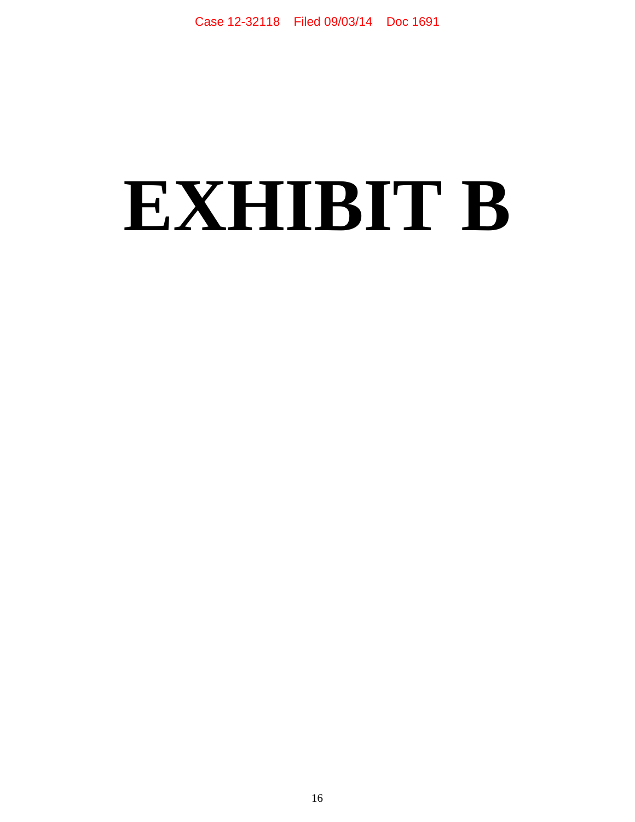# **EXHIBIT B**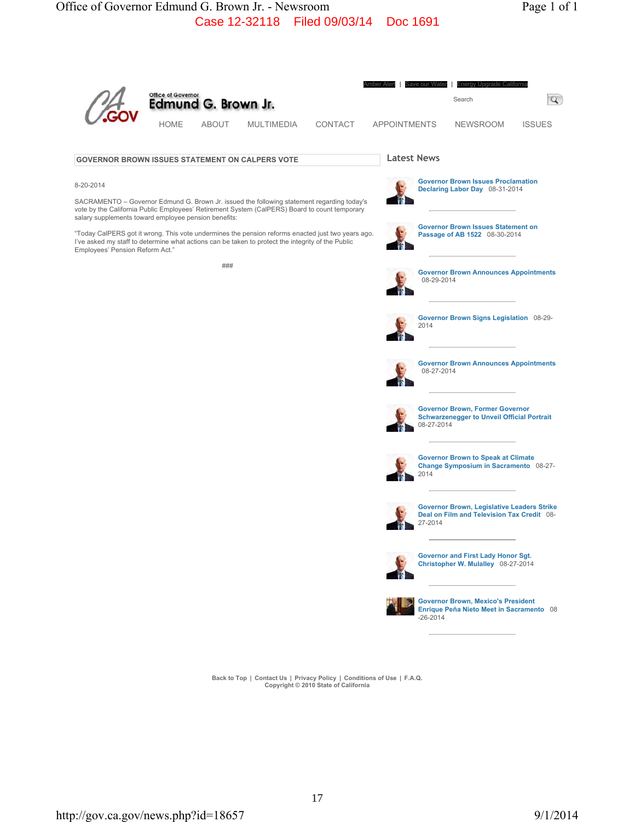

**Back to Top | Contact Us | Privacy Policy | Conditions of Use | F.A.Q. Copyright © 2010 State of California**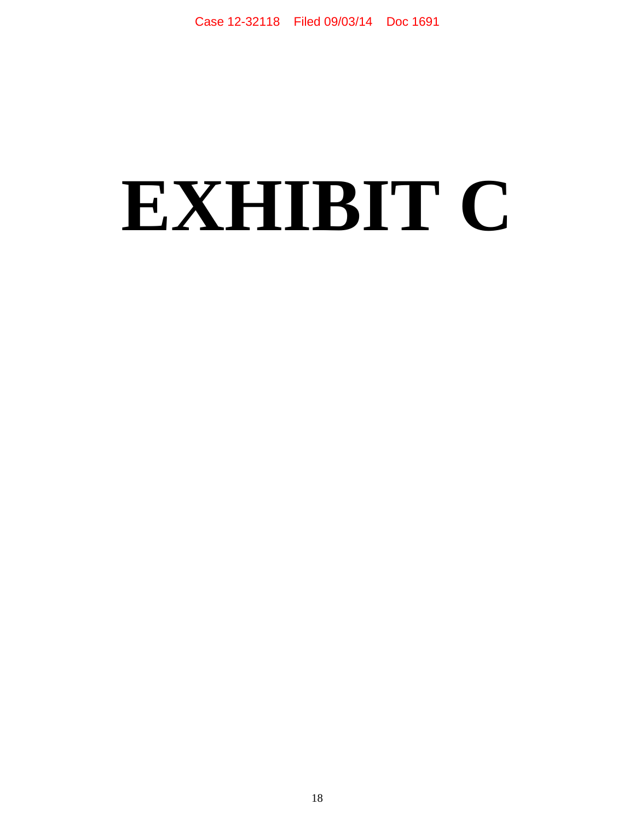# **EXHIBIT C**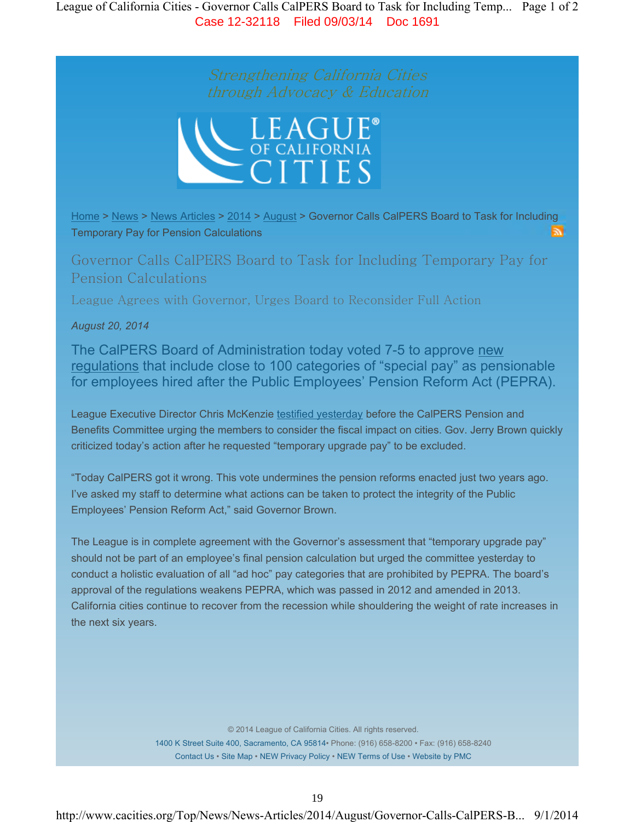League of California Cities - Governor Calls CalPERS Board to Task for Including Temp... Page 1 of 2 Case 12-32118 Filed 09/03/14 Doc 1691



Home > News > News Articles > 2014 > August > Governor Calls CalPERS Board to Task for Including Temporary Pay for Pension Calculations

Governor Calls CalPERS Board to Task for Including Temporary Pay for Pension Calculations

League Agrees with Governor, Urges Board to Reconsider Full Action

*August 20, 2014*

The CalPERS Board of Administration today voted 7-5 to approve new regulations that include close to 100 categories of "special pay" as pensionable for employees hired after the Public Employees' Pension Reform Act (PEPRA).

League Executive Director Chris McKenzie testified yesterday before the CalPERS Pension and Benefits Committee urging the members to consider the fiscal impact on cities. Gov. Jerry Brown quickly criticized today's action after he requested "temporary upgrade pay" to be excluded.

"Today CalPERS got it wrong. This vote undermines the pension reforms enacted just two years ago. I've asked my staff to determine what actions can be taken to protect the integrity of the Public Employees' Pension Reform Act," said Governor Brown.

The League is in complete agreement with the Governor's assessment that "temporary upgrade pay" should not be part of an employee's final pension calculation but urged the committee yesterday to conduct a holistic evaluation of all "ad hoc" pay categories that are prohibited by PEPRA. The board's approval of the regulations weakens PEPRA, which was passed in 2012 and amended in 2013. California cities continue to recover from the recession while shouldering the weight of rate increases in the next six years.

© 2014 League of California Cities. All rights reserved.

1400 K Street Suite 400, Sacramento, CA 95814• Phone: (916) 658-8200 • Fax: (916) 658-8240 Contact Us • Site Map • NEW Privacy Policy • NEW Terms of Use • Website by PMC

19

http://www.cacities.org/Top/News/News-Articles/2014/August/Governor-Calls-CalPERS-B... 9/1/2014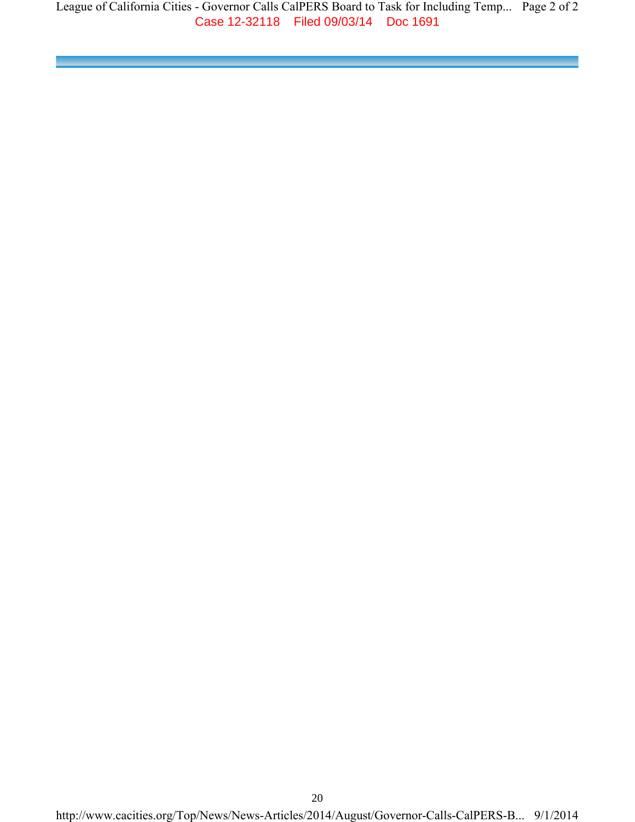League of California Cities - Governor Calls CalPERS Board to Task for Including Temp... Page 2 of 2 Case 12-32118 Filed 09/03/14 Doc 1691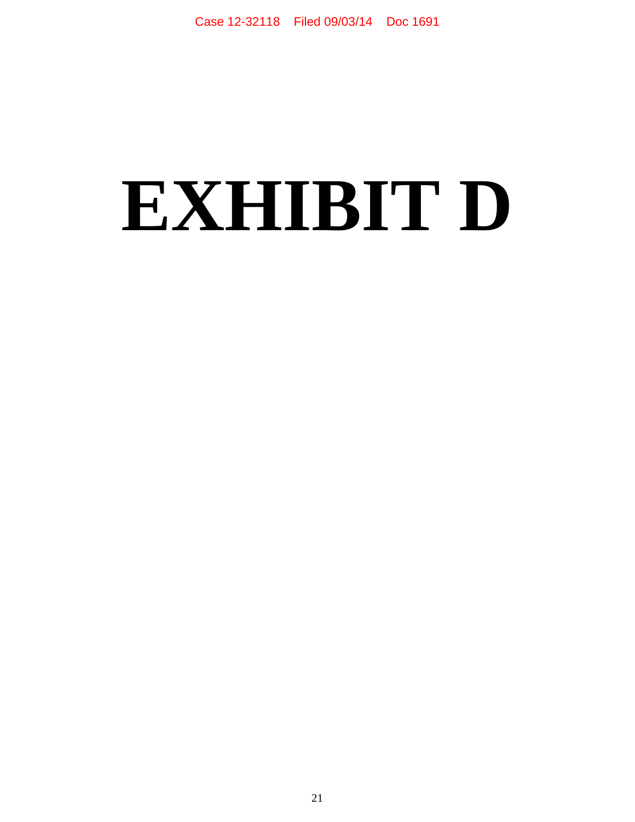# **EXHIBIT D**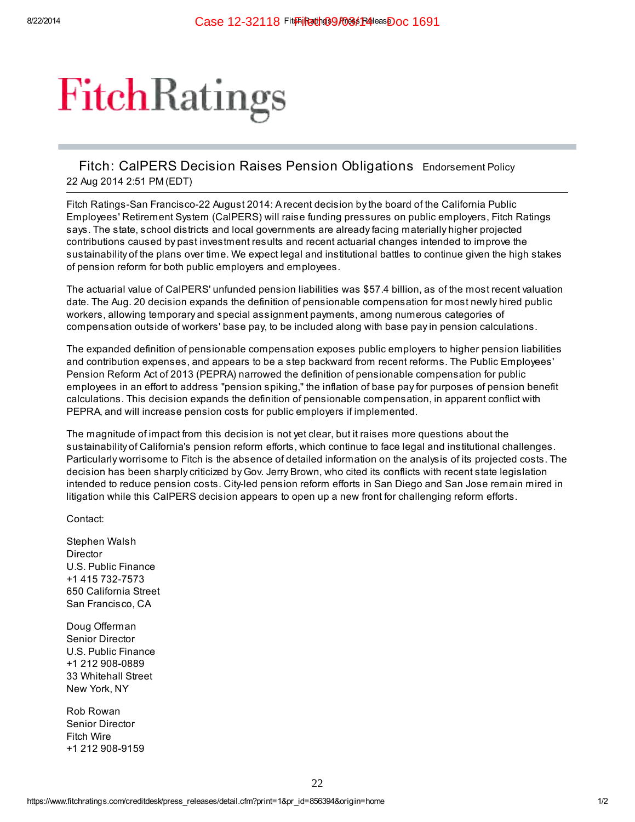# **FitchRatings**

### Fitch: CalPERS Decision Raises Pension Obligations Endorsement Policy 22 Aug 2014 2:51 PM (EDT)

Fitch Ratings-San Francisco-22 August 2014: A recent decision by the board of the California Public Employees' Retirement System (CalPERS) will raise funding pressures on public employers, Fitch Ratings says. The state, school districts and local governments are already facing materially higher projected contributions caused by past investment results and recent actuarial changes intended to improve the sustainability of the plans over time. We expect legal and institutional battles to continue given the high stakes of pension reform for both public employers and employees.

The actuarial value of CalPERS' unfunded pension liabilities was \$57.4 billion, as of the most recent valuation date. The Aug. 20 decision expands the definition of pensionable compensation for most newly hired public workers, allowing temporary and special assignment payments, among numerous categories of compensation outside of workers' base pay, to be included along with base pay in pension calculations.

The expanded definition of pensionable compensation exposes public employers to higher pension liabilities and contribution expenses, and appears to be a step backward from recent reforms. The Public Employees' Pension Reform Act of 2013 (PEPRA) narrowed the definition of pensionable compensation for public employees in an effort to address "pension spiking," the inflation of base pay for purposes of pension benefit calculations. This decision expands the definition of pensionable compensation, in apparent conflict with PEPRA, and will increase pension costs for public employers if implemented.

The magnitude of impact from this decision is not yet clear, but it raises more questions about the sustainability of California's pension reform efforts, which continue to face legal and institutional challenges. Particularly worrisome to Fitch is the absence of detailed information on the analysis of its projected costs. The decision has been sharply criticized by Gov. Jerry Brown, who cited its conflicts with recent state legislation intended to reduce pension costs. City-led pension reform efforts in San Diego and San Jose remain mired in litigation while this CalPERS decision appears to open up a new front for challenging reform efforts.

Contact:

Stephen Walsh **Director** U.S. Public Finance +1 415 732-7573 650 California Street San Francisco, CA

Doug Offerman Senior Director U.S. Public Finance +1 212 908-0889 33 Whitehall Street New York, NY

Rob Rowan Senior Director Fitch Wire +1 212 908-9159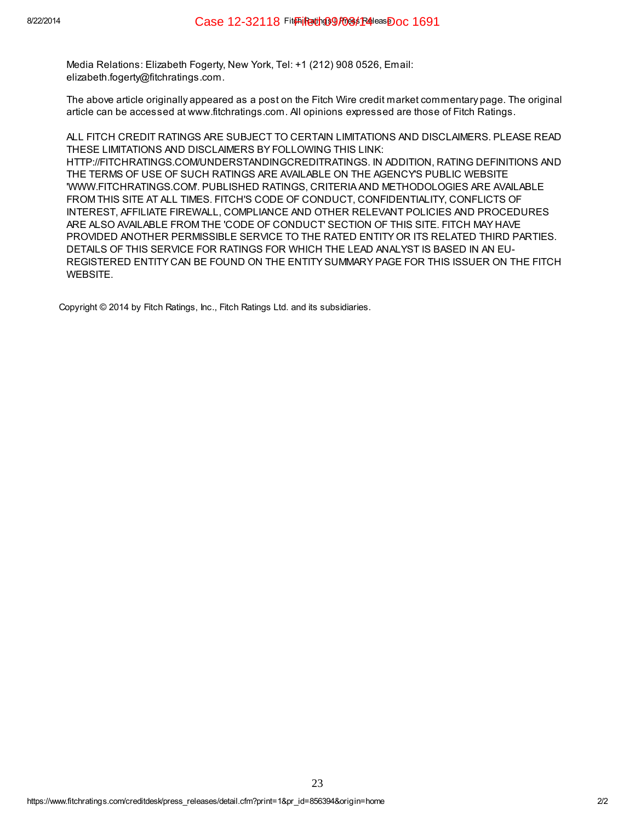Media Relations: Elizabeth Fogerty, New York, Tel: +1 (212) 908 0526, Email: elizabeth.fogerty@fitchratings.com.

The above article originally appeared as a post on the Fitch Wire credit market commentary page. The original article can be accessed at www.fitchratings.com. All opinions expressed are those of Fitch Ratings.

ALL FITCH CREDIT RATINGS ARE SUBJECT TO CERTAIN LIMITATIONS AND DISCLAIMERS. PLEASE READ THESE LIMITATIONS AND DISCLAIMERS BY FOLLOWING THIS LINK:

HTTP://FITCHRATINGS.COM/UNDERSTANDINGCREDITRATINGS. IN ADDITION, RATING DEFINITIONS AND THE TERMS OF USE OF SUCH RATINGS ARE AVAILABLE ON THE AGENCY'S PUBLIC WEBSITE 'WWW.FITCHRATINGS.COM'. PUBLISHED RATINGS, CRITERIA AND METHODOLOGIES ARE AVAILABLE FROM THIS SITE AT ALL TIMES. FITCH'S CODE OF CONDUCT, CONFIDENTIALITY, CONFLICTS OF INTEREST, AFFILIATE FIREWALL, COMPLIANCE AND OTHER RELEVANT POLICIES AND PROCEDURES ARE ALSO AVAILABLE FROM THE 'CODE OF CONDUCT' SECTION OF THIS SITE. FITCH MAY HAVE PROVIDED ANOTHER PERMISSIBLE SERVICE TO THE RATED ENTITY OR ITS RELATED THIRD PARTIES. DETAILS OF THIS SERVICE FOR RATINGS FOR WHICH THE LEAD ANALYST IS BASED IN AN EU-REGISTERED ENTITY CAN BE FOUND ON THE ENTITY SUMMARY PAGE FOR THIS ISSUER ON THE FITCH WEBSITE.

Copyright © 2014 by Fitch Ratings, Inc., Fitch Ratings Ltd. and its subsidiaries.

23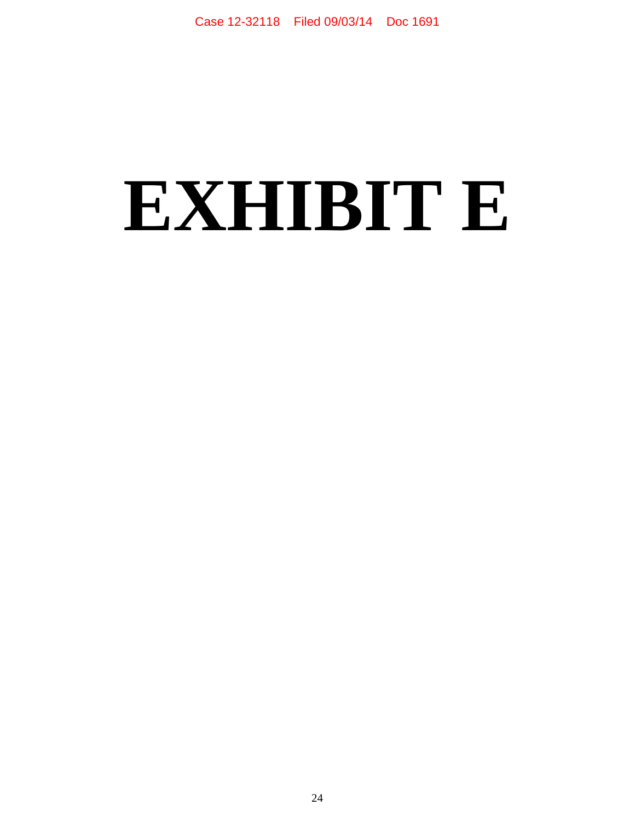# **EXHIBIT E**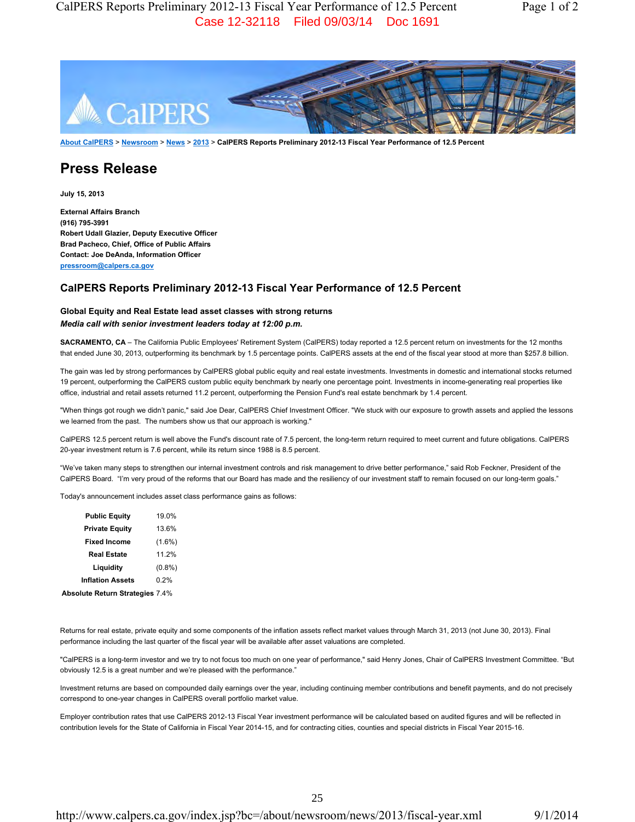

**About CalPERS** > **Newsroom** > **News** > **2013** > **CalPERS Reports Preliminary 2012-13 Fiscal Year Performance of 12.5 Percent**

### **Press Release**

**July 15, 2013**

**External Affairs Branch (916) 795-3991 Robert Udall Glazier, Deputy Executive Officer Brad Pacheco, Chief, Office of Public Affairs Contact: Joe DeAnda, Information Officer pressroom@calpers.ca.gov**

#### **CalPERS Reports Preliminary 2012-13 Fiscal Year Performance of 12.5 Percent**

#### **Global Equity and Real Estate lead asset classes with strong returns** *Media call with senior investment leaders today at 12:00 p.m.*

**SACRAMENTO, CA** – The California Public Employees' Retirement System (CalPERS) today reported a 12.5 percent return on investments for the 12 months that ended June 30, 2013, outperforming its benchmark by 1.5 percentage points. CalPERS assets at the end of the fiscal year stood at more than \$257.8 billion.

The gain was led by strong performances by CalPERS global public equity and real estate investments. Investments in domestic and international stocks returned 19 percent, outperforming the CalPERS custom public equity benchmark by nearly one percentage point. Investments in income-generating real properties like office, industrial and retail assets returned 11.2 percent, outperforming the Pension Fund's real estate benchmark by 1.4 percent.

"When things got rough we didn't panic," said Joe Dear, CalPERS Chief Investment Officer. "We stuck with our exposure to growth assets and applied the lessons we learned from the past. The numbers show us that our approach is working."

CalPERS 12.5 percent return is well above the Fund's discount rate of 7.5 percent, the long-term return required to meet current and future obligations. CalPERS 20-year investment return is 7.6 percent, while its return since 1988 is 8.5 percent.

"We've taken many steps to strengthen our internal investment controls and risk management to drive better performance," said Rob Feckner, President of the CalPERS Board. "I'm very proud of the reforms that our Board has made and the resiliency of our investment staff to remain focused on our long-term goals."

Today's announcement includes asset class performance gains as follows:

| <b>Public Equity</b>            | 19.0%     |
|---------------------------------|-----------|
| <b>Private Equity</b>           | 13.6%     |
| <b>Fixed Income</b>             | $(1.6\%)$ |
| Real Estate                     | 11.2%     |
| Liquidity                       | $(0.8\%)$ |
| <b>Inflation Assets</b>         | 0.2%      |
| Absolute Return Strategies 7.4% |           |

Returns for real estate, private equity and some components of the inflation assets reflect market values through March 31, 2013 (not June 30, 2013). Final performance including the last quarter of the fiscal year will be available after asset valuations are completed.

"CalPERS is a long-term investor and we try to not focus too much on one year of performance," said Henry Jones, Chair of CalPERS Investment Committee. "But obviously 12.5 is a great number and we're pleased with the performance."

Investment returns are based on compounded daily earnings over the year, including continuing member contributions and benefit payments, and do not precisely correspond to one-year changes in CalPERS overall portfolio market value.

Employer contribution rates that use CalPERS 2012-13 Fiscal Year investment performance will be calculated based on audited figures and will be reflected in contribution levels for the State of California in Fiscal Year 2014-15, and for contracting cities, counties and special districts in Fiscal Year 2015-16.

http://www.calpers.ca.gov/index.jsp?bc=/about/newsroom/news/2013/fiscal-year.xml 9/1/2014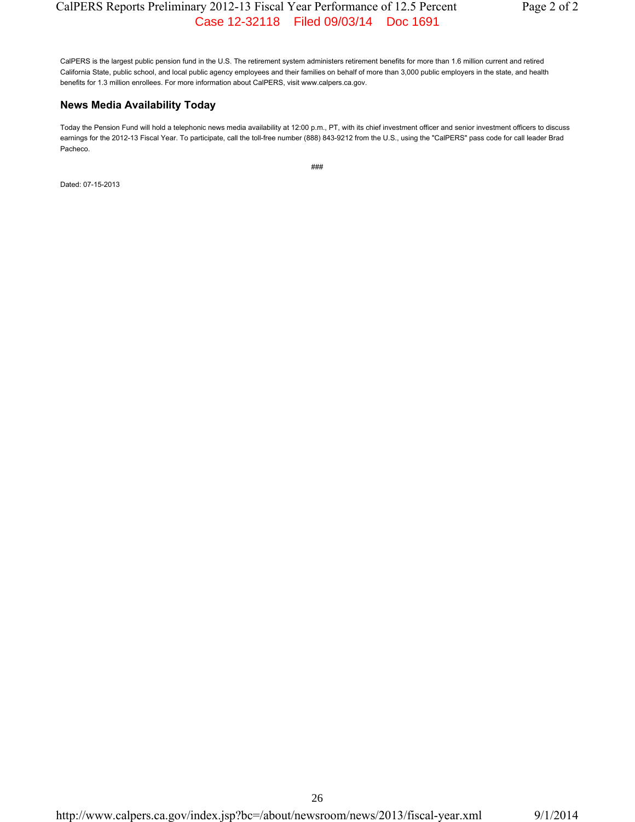### CalPERS Reports Preliminary 2012-13 Fiscal Year Performance of 12.5 Percent Page 2 of 2 Case 12-32118 Filed 09/03/14 Doc 1691

CalPERS is the largest public pension fund in the U.S. The retirement system administers retirement benefits for more than 1.6 million current and retired California State, public school, and local public agency employees and their families on behalf of more than 3,000 public employers in the state, and health benefits for 1.3 million enrollees. For more information about CalPERS, visit www.calpers.ca.gov.

#### **News Media Availability Today**

Today the Pension Fund will hold a telephonic news media availability at 12:00 p.m., PT, with its chief investment officer and senior investment officers to discuss earnings for the 2012-13 Fiscal Year. To participate, call the toll-free number (888) 843-9212 from the U.S., using the "CalPERS" pass code for call leader Brad Pacheco.

###

Dated: 07-15-2013

26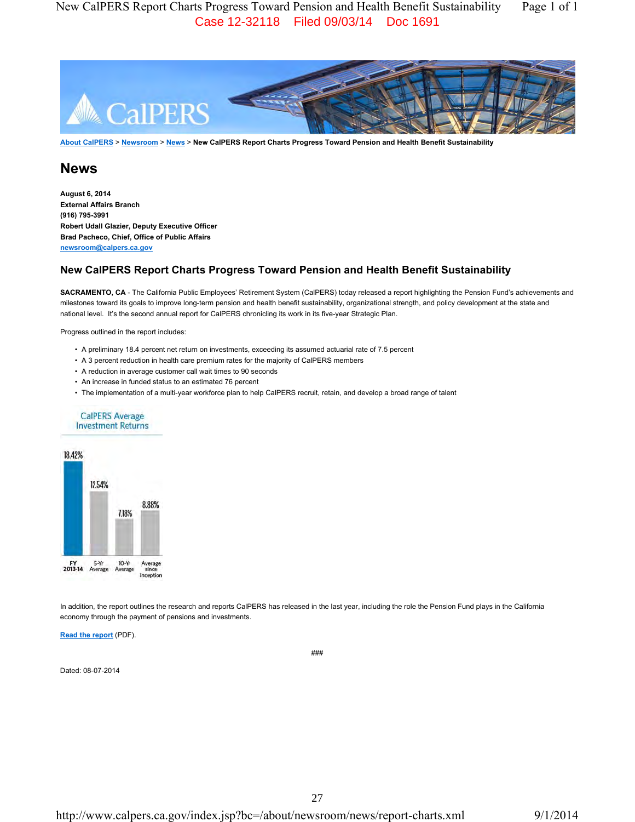

**About CalPERS** > **Newsroom** > **News** > **New CalPERS Report Charts Progress Toward Pension and Health Benefit Sustainability**

### **News**

**August 6, 2014 External Affairs Branch (916) 795-3991 Robert Udall Glazier, Deputy Executive Officer Brad Pacheco, Chief, Office of Public Affairs newsroom@calpers.ca.gov**

#### **New CalPERS Report Charts Progress Toward Pension and Health Benefit Sustainability**

**SACRAMENTO, CA** - The California Public Employees' Retirement System (CalPERS) today released a report highlighting the Pension Fund's achievements and milestones toward its goals to improve long-term pension and health benefit sustainability, organizational strength, and policy development at the state and national level. It's the second annual report for CalPERS chronicling its work in its five-year Strategic Plan.

Progress outlined in the report includes:

- A preliminary 18.4 percent net return on investments, exceeding its assumed actuarial rate of 7.5 percent
- A 3 percent reduction in health care premium rates for the majority of CalPERS members
- A reduction in average customer call wait times to 90 seconds
- An increase in funded status to an estimated 76 percent
- The implementation of a multi-year workforce plan to help CalPERS recruit, retain, and develop a broad range of talent





In addition, the report outlines the research and reports CalPERS has released in the last year, including the role the Pension Fund plays in the California economy through the payment of pensions and investments.

**Read the report** (PDF).

Dated: 08-07-2014

###

27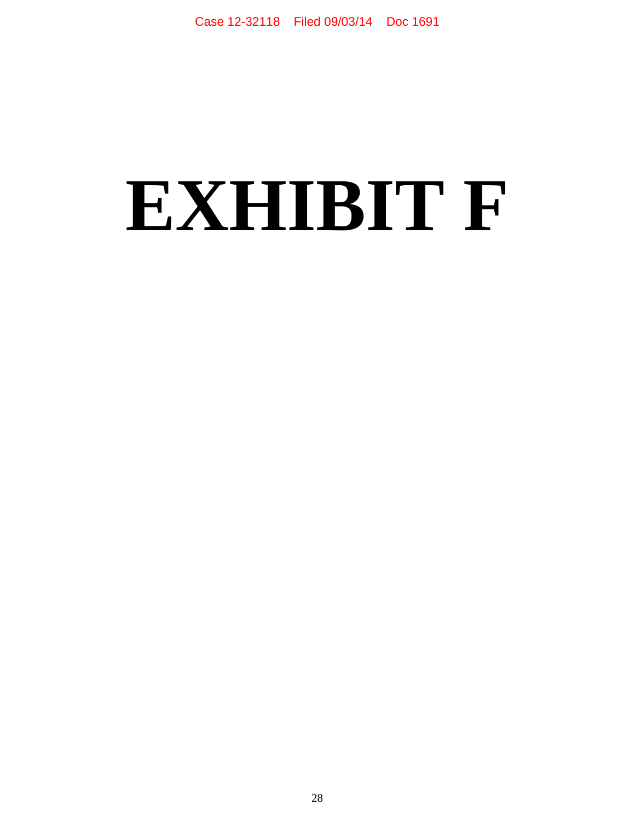# **EXHIBIT F**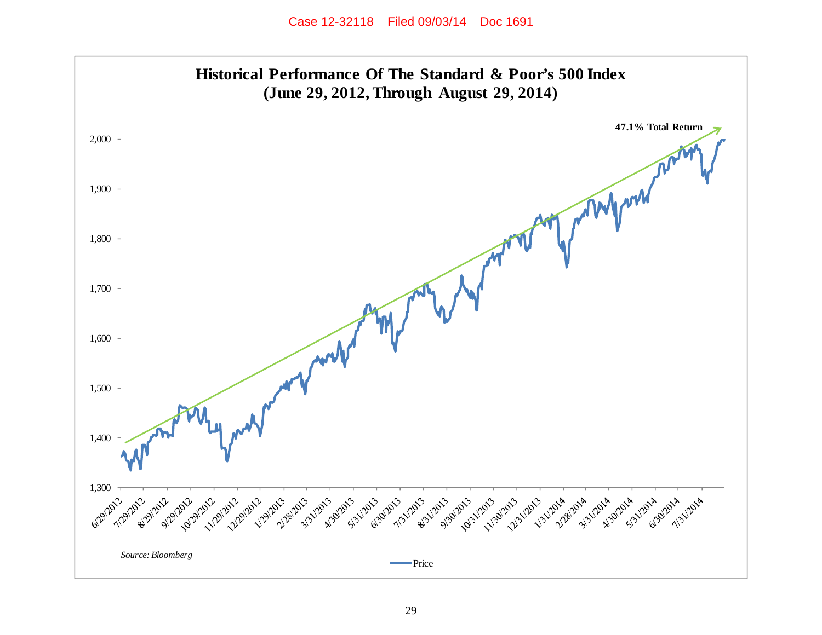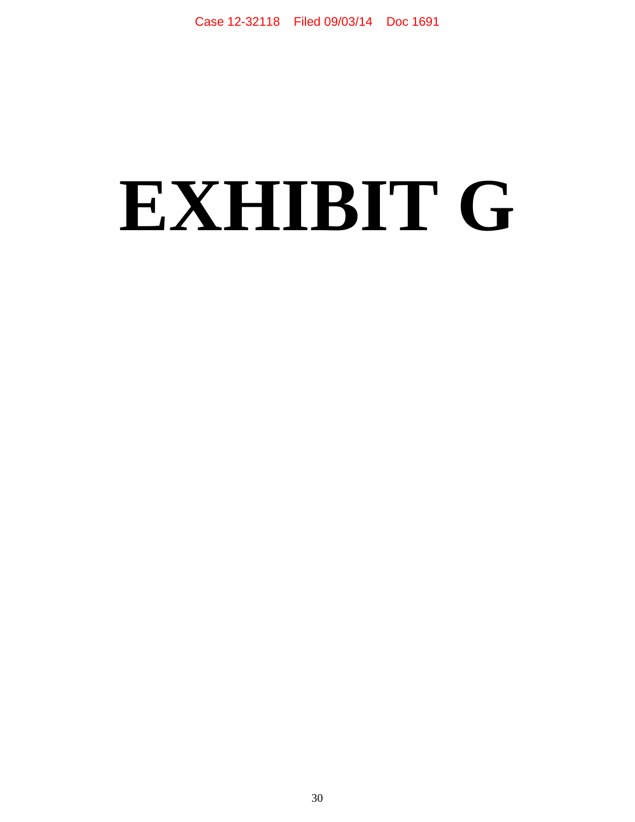# **EXHIBIT G**